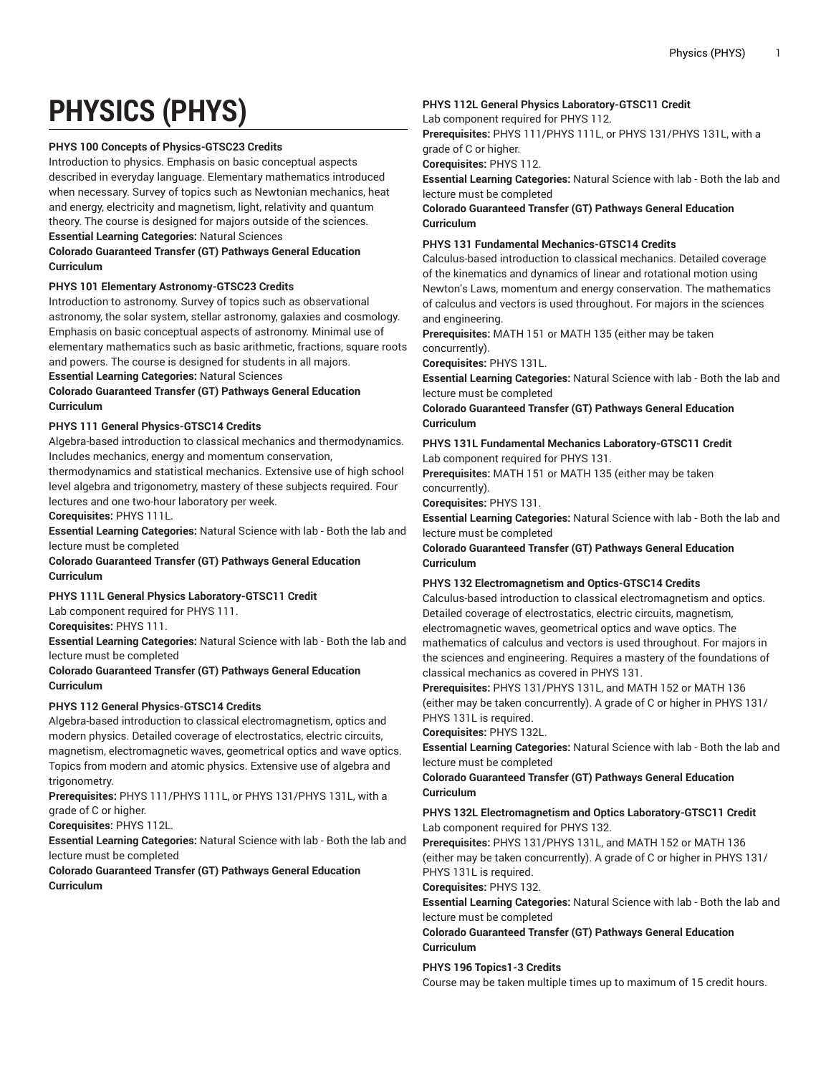# **PHYSICS (PHYS)**

# **PHYS 100 Concepts of Physics-GTSC23 Credits**

Introduction to physics. Emphasis on basic conceptual aspects described in everyday language. Elementary mathematics introduced when necessary. Survey of topics such as Newtonian mechanics, heat and energy, electricity and magnetism, light, relativity and quantum theory. The course is designed for majors outside of the sciences. **Essential Learning Categories:** Natural Sciences

# **Colorado Guaranteed Transfer (GT) Pathways General Education Curriculum**

# **PHYS 101 Elementary Astronomy-GTSC23 Credits**

Introduction to astronomy. Survey of topics such as observational astronomy, the solar system, stellar astronomy, galaxies and cosmology. Emphasis on basic conceptual aspects of astronomy. Minimal use of elementary mathematics such as basic arithmetic, fractions, square roots and powers. The course is designed for students in all majors.

#### **Essential Learning Categories:** Natural Sciences

# **Colorado Guaranteed Transfer (GT) Pathways General Education Curriculum**

# **PHYS 111 General Physics-GTSC14 Credits**

Algebra-based introduction to classical mechanics and thermodynamics. Includes mechanics, energy and momentum conservation,

thermodynamics and statistical mechanics. Extensive use of high school level algebra and trigonometry, mastery of these subjects required. Four lectures and one two-hour laboratory per week.

#### **Corequisites:** PHYS 111L.

**Essential Learning Categories:** Natural Science with lab - Both the lab and lecture must be completed

# **Colorado Guaranteed Transfer (GT) Pathways General Education Curriculum**

# **PHYS 111L General Physics Laboratory-GTSC11 Credit**

Lab component required for PHYS 111.

**Corequisites:** PHYS 111.

**Essential Learning Categories:** Natural Science with lab - Both the lab and lecture must be completed

# **Colorado Guaranteed Transfer (GT) Pathways General Education Curriculum**

# **PHYS 112 General Physics-GTSC14 Credits**

Algebra-based introduction to classical electromagnetism, optics and modern physics. Detailed coverage of electrostatics, electric circuits, magnetism, electromagnetic waves, geometrical optics and wave optics. Topics from modern and atomic physics. Extensive use of algebra and trigonometry.

**Prerequisites:** PHYS 111/PHYS 111L, or PHYS 131/PHYS 131L, with a grade of C or higher.

**Corequisites:** PHYS 112L.

**Essential Learning Categories:** Natural Science with lab - Both the lab and lecture must be completed

**Colorado Guaranteed Transfer (GT) Pathways General Education Curriculum**

# **PHYS 112L General Physics Laboratory-GTSC11 Credit**

Lab component required for PHYS 112.

**Prerequisites:** PHYS 111/PHYS 111L, or PHYS 131/PHYS 131L, with a grade of C or higher.

**Corequisites:** PHYS 112.

**Essential Learning Categories:** Natural Science with lab - Both the lab and lecture must be completed

**Colorado Guaranteed Transfer (GT) Pathways General Education Curriculum**

# **PHYS 131 Fundamental Mechanics-GTSC14 Credits**

Calculus-based introduction to classical mechanics. Detailed coverage of the kinematics and dynamics of linear and rotational motion using Newton's Laws, momentum and energy conservation. The mathematics of calculus and vectors is used throughout. For majors in the sciences and engineering.

**Prerequisites:** MATH 151 or MATH 135 (either may be taken concurrently).

**Corequisites:** PHYS 131L.

**Essential Learning Categories:** Natural Science with lab - Both the lab and lecture must be completed

**Colorado Guaranteed Transfer (GT) Pathways General Education Curriculum**

**PHYS 131L Fundamental Mechanics Laboratory-GTSC11 Credit** Lab component required for PHYS 131.

**Prerequisites:** MATH 151 or MATH 135 (either may be taken concurrently).

**Corequisites:** PHYS 131.

**Essential Learning Categories:** Natural Science with lab - Both the lab and lecture must be completed

**Colorado Guaranteed Transfer (GT) Pathways General Education Curriculum**

# **PHYS 132 Electromagnetism and Optics-GTSC14 Credits**

Calculus-based introduction to classical electromagnetism and optics. Detailed coverage of electrostatics, electric circuits, magnetism, electromagnetic waves, geometrical optics and wave optics. The mathematics of calculus and vectors is used throughout. For majors in the sciences and engineering. Requires a mastery of the foundations of classical mechanics as covered in PHYS 131.

**Prerequisites:** PHYS 131/PHYS 131L, and MATH 152 or MATH 136 (either may be taken concurrently). A grade of C or higher in PHYS 131/ PHYS 131L is required.

**Corequisites:** PHYS 132L.

**Essential Learning Categories:** Natural Science with lab - Both the lab and lecture must be completed

**Colorado Guaranteed Transfer (GT) Pathways General Education Curriculum**

# **PHYS 132L Electromagnetism and Optics Laboratory-GTSC11 Credit** Lab component required for PHYS 132.

**Prerequisites:** PHYS 131/PHYS 131L, and MATH 152 or MATH 136 (either may be taken concurrently). A grade of C or higher in PHYS 131/ PHYS 131L is required.

#### **Corequisites:** PHYS 132.

**Essential Learning Categories:** Natural Science with lab - Both the lab and lecture must be completed

**Colorado Guaranteed Transfer (GT) Pathways General Education Curriculum**

**PHYS 196 Topics1-3 Credits**

Course may be taken multiple times up to maximum of 15 credit hours.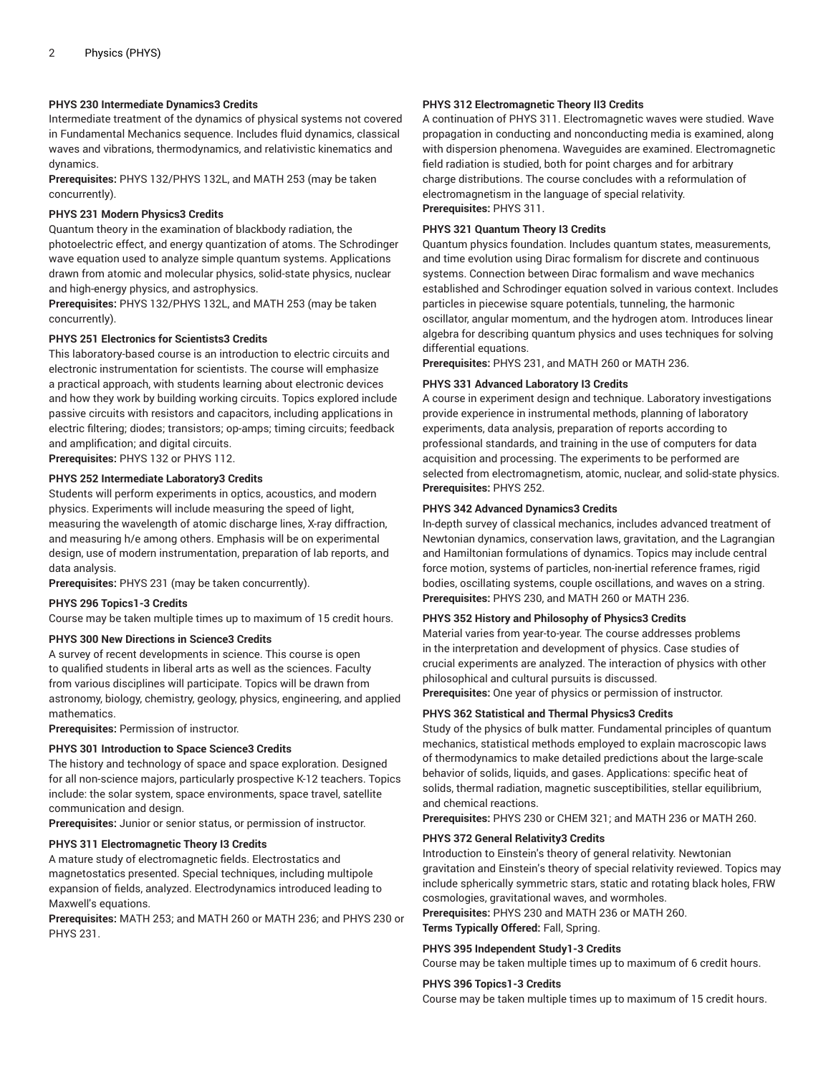# **PHYS 230 Intermediate Dynamics3 Credits**

Intermediate treatment of the dynamics of physical systems not covered in Fundamental Mechanics sequence. Includes fluid dynamics, classical waves and vibrations, thermodynamics, and relativistic kinematics and dynamics.

**Prerequisites:** PHYS 132/PHYS 132L, and MATH 253 (may be taken concurrently).

# **PHYS 231 Modern Physics3 Credits**

Quantum theory in the examination of blackbody radiation, the photoelectric effect, and energy quantization of atoms. The Schrodinger wave equation used to analyze simple quantum systems. Applications drawn from atomic and molecular physics, solid-state physics, nuclear and high-energy physics, and astrophysics.

**Prerequisites:** PHYS 132/PHYS 132L, and MATH 253 (may be taken concurrently).

# **PHYS 251 Electronics for Scientists3 Credits**

This laboratory-based course is an introduction to electric circuits and electronic instrumentation for scientists. The course will emphasize a practical approach, with students learning about electronic devices and how they work by building working circuits. Topics explored include passive circuits with resistors and capacitors, including applications in electric filtering; diodes; transistors; op-amps; timing circuits; feedback and amplification; and digital circuits.

**Prerequisites:** PHYS 132 or PHYS 112.

# **PHYS 252 Intermediate Laboratory3 Credits**

Students will perform experiments in optics, acoustics, and modern physics. Experiments will include measuring the speed of light, measuring the wavelength of atomic discharge lines, X-ray diffraction, and measuring h/e among others. Emphasis will be on experimental design, use of modern instrumentation, preparation of lab reports, and data analysis.

**Prerequisites:** PHYS 231 (may be taken concurrently).

# **PHYS 296 Topics1-3 Credits**

Course may be taken multiple times up to maximum of 15 credit hours.

#### **PHYS 300 New Directions in Science3 Credits**

A survey of recent developments in science. This course is open to qualified students in liberal arts as well as the sciences. Faculty from various disciplines will participate. Topics will be drawn from astronomy, biology, chemistry, geology, physics, engineering, and applied mathematics.

**Prerequisites:** Permission of instructor.

#### **PHYS 301 Introduction to Space Science3 Credits**

The history and technology of space and space exploration. Designed for all non-science majors, particularly prospective K-12 teachers. Topics include: the solar system, space environments, space travel, satellite communication and design.

**Prerequisites:** Junior or senior status, or permission of instructor.

#### **PHYS 311 Electromagnetic Theory I3 Credits**

A mature study of electromagnetic fields. Electrostatics and magnetostatics presented. Special techniques, including multipole expansion of fields, analyzed. Electrodynamics introduced leading to Maxwell's equations.

**Prerequisites:** MATH 253; and MATH 260 or MATH 236; and PHYS 230 or PHYS 231.

# **PHYS 312 Electromagnetic Theory II3 Credits**

A continuation of PHYS 311. Electromagnetic waves were studied. Wave propagation in conducting and nonconducting media is examined, along with dispersion phenomena. Waveguides are examined. Electromagnetic field radiation is studied, both for point charges and for arbitrary charge distributions. The course concludes with a reformulation of electromagnetism in the language of special relativity. **Prerequisites:** PHYS 311.

# **PHYS 321 Quantum Theory I3 Credits**

Quantum physics foundation. Includes quantum states, measurements, and time evolution using Dirac formalism for discrete and continuous systems. Connection between Dirac formalism and wave mechanics established and Schrodinger equation solved in various context. Includes particles in piecewise square potentials, tunneling, the harmonic oscillator, angular momentum, and the hydrogen atom. Introduces linear algebra for describing quantum physics and uses techniques for solving differential equations.

**Prerequisites:** PHYS 231, and MATH 260 or MATH 236.

#### **PHYS 331 Advanced Laboratory I3 Credits**

A course in experiment design and technique. Laboratory investigations provide experience in instrumental methods, planning of laboratory experiments, data analysis, preparation of reports according to professional standards, and training in the use of computers for data acquisition and processing. The experiments to be performed are selected from electromagnetism, atomic, nuclear, and solid-state physics. **Prerequisites:** PHYS 252.

# **PHYS 342 Advanced Dynamics3 Credits**

In-depth survey of classical mechanics, includes advanced treatment of Newtonian dynamics, conservation laws, gravitation, and the Lagrangian and Hamiltonian formulations of dynamics. Topics may include central force motion, systems of particles, non-inertial reference frames, rigid bodies, oscillating systems, couple oscillations, and waves on a string. **Prerequisites:** PHYS 230, and MATH 260 or MATH 236.

# **PHYS 352 History and Philosophy of Physics3 Credits**

Material varies from year-to-year. The course addresses problems in the interpretation and development of physics. Case studies of crucial experiments are analyzed. The interaction of physics with other philosophical and cultural pursuits is discussed.

**Prerequisites:** One year of physics or permission of instructor.

# **PHYS 362 Statistical and Thermal Physics3 Credits**

Study of the physics of bulk matter. Fundamental principles of quantum mechanics, statistical methods employed to explain macroscopic laws of thermodynamics to make detailed predictions about the large-scale behavior of solids, liquids, and gases. Applications: specific heat of solids, thermal radiation, magnetic susceptibilities, stellar equilibrium, and chemical reactions.

**Prerequisites:** PHYS 230 or CHEM 321; and MATH 236 or MATH 260.

#### **PHYS 372 General Relativity3 Credits**

Introduction to Einstein's theory of general relativity. Newtonian gravitation and Einstein's theory of special relativity reviewed. Topics may include spherically symmetric stars, static and rotating black holes, FRW cosmologies, gravitational waves, and wormholes.

**Prerequisites:** PHYS 230 and MATH 236 or MATH 260.

**Terms Typically Offered:** Fall, Spring.

# **PHYS 395 Independent Study1-3 Credits**

Course may be taken multiple times up to maximum of 6 credit hours.

#### **PHYS 396 Topics1-3 Credits**

Course may be taken multiple times up to maximum of 15 credit hours.